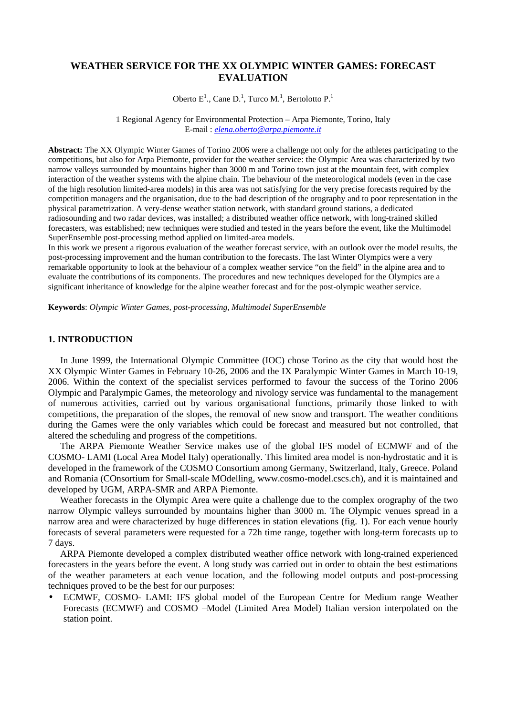# **WEATHER SERVICE FOR THE XX OLYMPIC WINTER GAMES: FORECAST EVALUATION**

Oberto  $E^1$ ., Cane D.<sup>1</sup>, Turco M.<sup>1</sup>, Bertolotto P.<sup>1</sup>

1 Regional Agency for Environmental Protection – Arpa Piemonte, Torino, Italy E-mail : *elena.oberto@arpa.piemonte.it*

**Abstract:** The XX Olympic Winter Games of Torino 2006 were a challenge not only for the athletes participating to the competitions, but also for Arpa Piemonte, provider for the weather service: the Olympic Area was characterized by two narrow valleys surrounded by mountains higher than 3000 m and Torino town just at the mountain feet, with complex interaction of the weather systems with the alpine chain. The behaviour of the meteorological models (even in the case of the high resolution limited-area models) in this area was not satisfying for the very precise forecasts required by the competition managers and the organisation, due to the bad description of the orography and to poor representation in the physical parametrization. A very-dense weather station network, with standard ground stations, a dedicated radiosounding and two radar devices, was installed; a distributed weather office network, with long-trained skilled forecasters, was established; new techniques were studied and tested in the years before the event, like the Multimodel SuperEnsemble post-processing method applied on limited-area models.

In this work we present a rigorous evaluation of the weather forecast service, with an outlook over the model results, the post-processing improvement and the human contribution to the forecasts. The last Winter Olympics were a very remarkable opportunity to look at the behaviour of a complex weather service "on the field" in the alpine area and to evaluate the contributions of its components. The procedures and new techniques developed for the Olympics are a significant inheritance of knowledge for the alpine weather forecast and for the post-olympic weather service.

**Keywords**: *Olympic Winter Games, post-processing, Multimodel SuperEnsemble*

### **1. INTRODUCTION**

In June 1999, the International Olympic Committee (IOC) chose Torino as the city that would host the XX Olympic Winter Games in February 10-26, 2006 and the IX Paralympic Winter Games in March 10-19, 2006. Within the context of the specialist services performed to favour the success of the Torino 2006 Olympic and Paralympic Games, the meteorology and nivology service was fundamental to the management of numerous activities, carried out by various organisational functions, primarily those linked to with competitions, the preparation of the slopes, the removal of new snow and transport. The weather conditions during the Games were the only variables which could be forecast and measured but not controlled, that altered the scheduling and progress of the competitions.

The ARPA Piemonte Weather Service makes use of the global IFS model of ECMWF and of the COSMO- LAMI (Local Area Model Italy) operationally. This limited area model is non-hydrostatic and it is developed in the framework of the COSMO Consortium among Germany, Switzerland, Italy, Greece. Poland and Romania (COnsortium for Small-scale MOdelling, www.cosmo-model.cscs.ch), and it is maintained and developed by UGM, ARPA-SMR and ARPA Piemonte.

Weather forecasts in the Olympic Area were quite a challenge due to the complex orography of the two narrow Olympic valleys surrounded by mountains higher than 3000 m. The Olympic venues spread in a narrow area and were characterized by huge differences in station elevations (fig. 1). For each venue hourly forecasts of several parameters were requested for a 72h time range, together with long-term forecasts up to 7 days.

ARPA Piemonte developed a complex distributed weather office network with long-trained experienced forecasters in the years before the event. A long study was carried out in order to obtain the best estimations of the weather parameters at each venue location, and the following model outputs and post-processing techniques proved to be the best for our purposes:

• ECMWF, COSMO- LAMI: IFS global model of the European Centre for Medium range Weather Forecasts (ECMWF) and COSMO –Model (Limited Area Model) Italian version interpolated on the station point.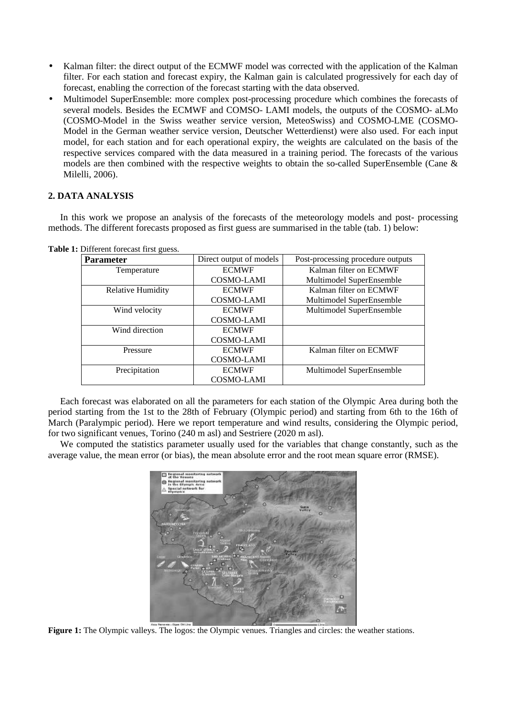- Kalman filter: the direct output of the ECMWF model was corrected with the application of the Kalman filter. For each station and forecast expiry, the Kalman gain is calculated progressively for each day of forecast, enabling the correction of the forecast starting with the data observed.
- Multimodel SuperEnsemble: more complex post-processing procedure which combines the forecasts of several models. Besides the ECMWF and COMSO- LAMI models, the outputs of the COSMO- aLMo (COSMO-Model in the Swiss weather service version, MeteoSwiss) and COSMO-LME (COSMO-Model in the German weather service version, Deutscher Wetterdienst) were also used. For each input model, for each station and for each operational expiry, the weights are calculated on the basis of the respective services compared with the data measured in a training period. The forecasts of the various models are then combined with the respective weights to obtain the so-called SuperEnsemble (Cane & Milelli, 2006).

## **2. DATA ANALYSIS**

In this work we propose an analysis of the forecasts of the meteorology models and post- processing methods. The different forecasts proposed as first guess are summarised in the table (tab. 1) below:

| <b>Parameter</b>         | Direct output of models | Post-processing procedure outputs |
|--------------------------|-------------------------|-----------------------------------|
| Temperature              | <b>ECMWF</b>            | Kalman filter on ECMWF            |
|                          | COSMO-LAMI              | Multimodel SuperEnsemble          |
| <b>Relative Humidity</b> | <b>ECMWF</b>            | Kalman filter on ECMWF            |
|                          | <b>COSMO-LAMI</b>       | Multimodel SuperEnsemble          |
| Wind velocity            | <b>ECMWF</b>            | Multimodel SuperEnsemble          |
|                          | <b>COSMO-LAMI</b>       |                                   |
| Wind direction           | <b>ECMWF</b>            |                                   |
|                          | <b>COSMO-LAMI</b>       |                                   |
| Pressure                 | <b>ECMWF</b>            | Kalman filter on ECMWF            |
|                          | <b>COSMO-LAMI</b>       |                                   |
| Precipitation            | <b>ECMWF</b>            | Multimodel SuperEnsemble          |
|                          | <b>COSMO-LAMI</b>       |                                   |

**Table 1:** Different forecast first guess.

Each forecast was elaborated on all the parameters for each station of the Olympic Area during both the period starting from the 1st to the 28th of February (Olympic period) and starting from 6th to the 16th of March (Paralympic period). Here we report temperature and wind results, considering the Olympic period, for two significant venues, Torino (240 m asl) and Sestriere (2020 m asl).

We computed the statistics parameter usually used for the variables that change constantly, such as the average value, the mean error (or bias), the mean absolute error and the root mean square error (RMSE).



**Figure 1:** The Olympic valleys. The logos: the Olympic venues. Triangles and circles: the weather stations.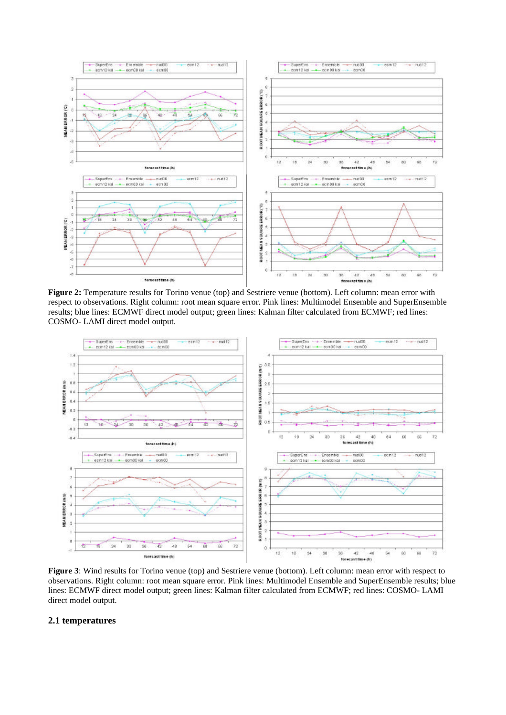

**Figure 2:** Temperature results for Torino venue (top) and Sestriere venue (bottom). Left column: mean error with respect to observations. Right column: root mean square error. Pink lines: Multimodel Ensemble and SuperEnsemble results; blue lines: ECMWF direct model output; green lines: Kalman filter calculated from ECMWF; red lines: COSMO- LAMI direct model output.



**Figure 3**: Wind results for Torino venue (top) and Sestriere venue (bottom). Left column: mean error with respect to observations. Right column: root mean square error. Pink lines: Multimodel Ensemble and SuperEnsemble results; blue lines: ECMWF direct model output; green lines: Kalman filter calculated from ECMWF; red lines: COSMO- LAMI direct model output.

### **2.1 temperatures**